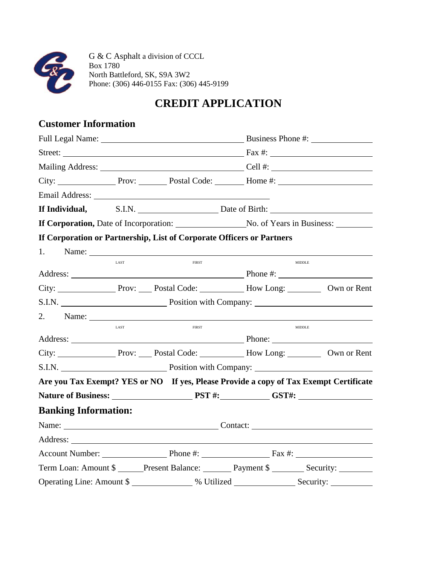

G & C Asphalt a division of CCCL Box 1780 North Battleford, SK, S9A 3W2 Phone: (306) 446-0155 Fax: (306) 445-9199

# **CREDIT APPLICATION**

## **Customer Information**

|                             |      |                                                                       |               | Street: Fax #:                                                                        |
|-----------------------------|------|-----------------------------------------------------------------------|---------------|---------------------------------------------------------------------------------------|
|                             |      |                                                                       |               |                                                                                       |
|                             |      |                                                                       |               |                                                                                       |
|                             |      |                                                                       |               |                                                                                       |
|                             |      |                                                                       |               | If Individual, S.I.N. Date of Birth: 1992                                             |
|                             |      |                                                                       |               | If Corporation, Date of Incorporation: No. of Years in Business:                      |
|                             |      | If Corporation or Partnership, List of Corporate Officers or Partners |               |                                                                                       |
| 1.                          |      | Name:                                                                 |               |                                                                                       |
|                             | LAST | <b>FIRST</b>                                                          | <b>MIDDLE</b> |                                                                                       |
|                             |      |                                                                       |               |                                                                                       |
|                             |      |                                                                       |               | City: Prov: Postal Code: How Long: Own or Rent                                        |
|                             |      |                                                                       |               |                                                                                       |
|                             |      |                                                                       |               |                                                                                       |
|                             | LAST | <b>FIRST</b>                                                          |               | <b>MIDDLE</b>                                                                         |
|                             |      |                                                                       |               |                                                                                       |
|                             |      |                                                                       |               | City: Next Prov: November 21 Postal Code: Next Pow Long: Next 20 Own or Rent          |
|                             |      |                                                                       |               |                                                                                       |
|                             |      |                                                                       |               | Are you Tax Exempt? YES or NO If yes, Please Provide a copy of Tax Exempt Certificate |
|                             |      |                                                                       |               |                                                                                       |
| <b>Banking Information:</b> |      |                                                                       |               |                                                                                       |
|                             |      |                                                                       |               |                                                                                       |
|                             |      |                                                                       |               |                                                                                       |
|                             |      |                                                                       |               | Account Number: Phone #: Fax #:                                                       |
|                             |      |                                                                       |               | Term Loan: Amount \$ Present Balance: Payment \$ __________________________________   |
|                             |      |                                                                       |               | Operating Line: Amount \$                                                             |